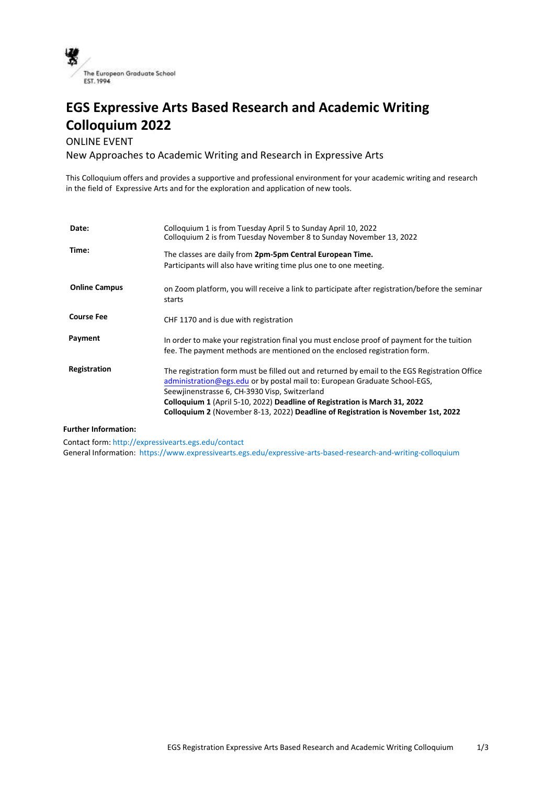

# **EGS Expressive Arts Based Research and Academic Writing Colloquium 2022**

### ONLINE EVENT

New Approaches to Academic Writing and Research in Expressive Arts

This Colloquium offers and provides a supportive and professional environment for your academic writing and research in the field of Expressive Arts and for the exploration and application of new tools.

| Date:                | Colloquium 1 is from Tuesday April 5 to Sunday April 10, 2022<br>Colloquium 2 is from Tuesday November 8 to Sunday November 13, 2022                                                                                                                                                                                                                                                            |
|----------------------|-------------------------------------------------------------------------------------------------------------------------------------------------------------------------------------------------------------------------------------------------------------------------------------------------------------------------------------------------------------------------------------------------|
| Time:                | The classes are daily from 2pm-5pm Central European Time.<br>Participants will also have writing time plus one to one meeting.                                                                                                                                                                                                                                                                  |
| <b>Online Campus</b> | on Zoom platform, you will receive a link to participate after registration/before the seminar<br>starts                                                                                                                                                                                                                                                                                        |
| <b>Course Fee</b>    | CHF 1170 and is due with registration                                                                                                                                                                                                                                                                                                                                                           |
| Payment              | In order to make your registration final you must enclose proof of payment for the tuition<br>fee. The payment methods are mentioned on the enclosed registration form.                                                                                                                                                                                                                         |
| Registration         | The registration form must be filled out and returned by email to the EGS Registration Office<br>administration@egs.edu or by postal mail to: European Graduate School-EGS,<br>Seewjinenstrasse 6, CH-3930 Visp, Switzerland<br>Colloquium 1 (April 5-10, 2022) Deadline of Registration is March 31, 2022<br>Colloquium 2 (November 8-13, 2022) Deadline of Registration is November 1st, 2022 |

#### **Further Information:**

Contact form: http://expressivearts.egs.edu/contact General Informatio[n:](http://expressivearts.egs.edu/ArtsBasedWriting&Research) https://www.expressivearts.egs.edu/expressive-arts-based-research-and-writing-colloquium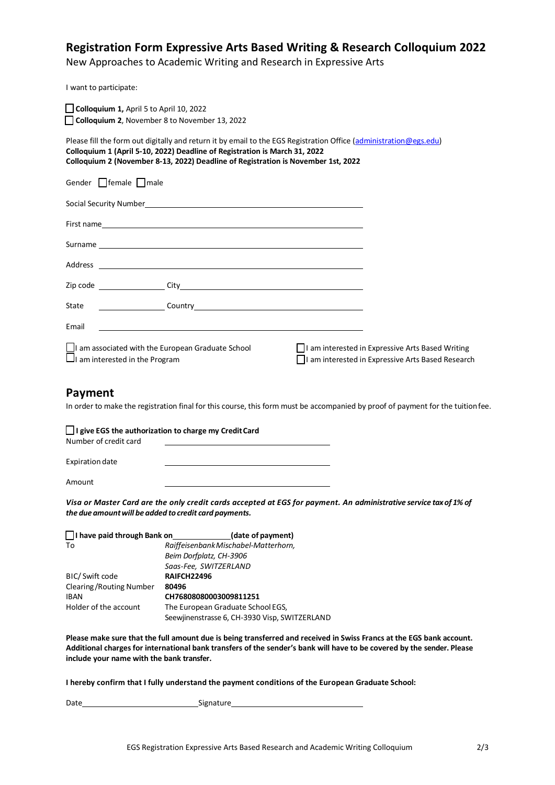## **Registration Form Expressive Arts Based Writing & Research Colloquium 2022**

New Approaches to Academic Writing and Research in Expressive Arts

I want to participate: □ **Colloquium 1, April 5 to April 10, 2022** ☐ **Colloquium 2**, November 8 to November 13, 2022 Please fill the form out digitally and return it by email to the EGS Registration Office [\(administration@egs.edu\)](mailto:administration@egs.edu) **Colloquium 1 (April 5-10, 2022) Deadline of Registration is March 31, 2022 Colloquium 2 (November 8-13, 2022) Deadline of Registration is November 1st, 2022** Gender **□** female □ male Social Security Number First name Surname
Leader and the set of the set of the set of the set of the set of the set of the set of the set of the set of the set of the set of the set of the set of the set of the set of the set of the set of the set of the s Address **contract and a set of the contract of the contract of the contract of the contract of the contract of the contract of the contract of the contract of the contract of the contract of the contract of the contract of** Zip code City State Country Country Country Country Country Country Country Country Country Country Country Country Country Country Country Country Country Country Country Country Country Country Country Country Country Country Country Email □ I am associated with the European Graduate School □ I am interested in Expressive Arts Based Writing<br>□ I am interested in Expressive Arts Based Researc<br>□ I am interested in Expressive Arts Based Researc □ I am interested in Expressive Arts Based Research **Payment** In order to make the registration final for this course, this form must be accompanied by proof of payment for the tuitionfee. ☐ **I give EGS the authorization to charge my CreditCard** Number of credit card Expiration date Amount *Visa or Master Card are the only credit cards accepted at EGS for payment. An administrative service taxof 1% of the due amountwill be added tocredit card payments.* ☐ **I have paid through Bank on (date of payment)** To *RaiffeisenbankMischabel-Matterhorn, Beim Dorfplatz, CH-3906 Saas-Fee, SWITZERLAND* BIC/ Swift code Clearing/Routing Number **80496** IBAN **CH76808080003009811251** Holder of the account The European Graduate School EGS, Seewjinenstrasse 6, CH-3930 Visp, SWITZERLAND **Please make sure that the full amount due is being transferred and received in Swiss Francs at the EGS bank account. Additional charges for international bank transfers of the sender's bank will have to be covered by the sender. Please include your name with the bank transfer.** 

**I hereby confirm that I fully understand the payment conditions of the European Graduate School:** 

Date Signature